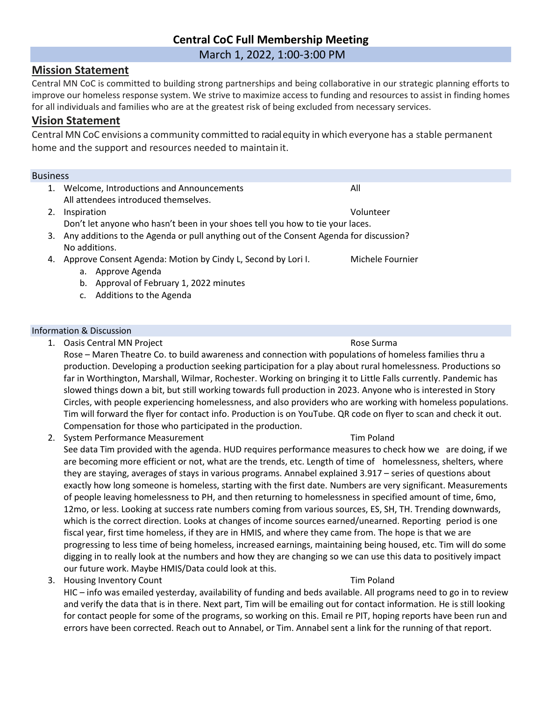# **Central CoC Full Membership Meeting**

March 1, 2022, 1:00-3:00 PM

# **Mission Statement**

Central MN CoC is committed to building strong partnerships and being collaborative in our strategic planning efforts to improve our homeless response system. We strive to maximize access to funding and resources to assist in finding homes for all individuals and families who are at the greatest risk of being excluded from necessary services.

# **Vision Statement**

Central MN CoC envisions a community committed to racialequity in which everyone has a stable permanent home and the support and resources needed to maintain it.

## Business

- 1. Welcome, Introductions and Announcements All All attendees introduced themselves.
- 2. Inspiration Volunteer Don't let anyone who hasn't been in your shoes tell you how to tie your laces.
- 3. Any additions to the Agenda or pull anything out of the Consent Agenda for discussion? No additions.
- 4. Approve Consent Agenda: Motion by Cindy L, Second by Lori I. Michele Fournier
	- a. Approve Agenda
	- b. Approval of February 1, 2022 minutes
	- c. Additions to the Agenda

## Information & Discussion

1. Oasis Central MN Project **Rose Surma** Rose Surma

Rose – Maren Theatre Co. to build awareness and connection with populations of homeless families thru a production. Developing a production seeking participation for a play about rural homelessness. Productions so far in Worthington, Marshall, Wilmar, Rochester. Working on bringing it to Little Falls currently. Pandemic has slowed things down a bit, but still working towards full production in 2023. Anyone who is interested in Story Circles, with people experiencing homelessness, and also providers who are working with homeless populations. Tim will forward the flyer for contact info. Production is on YouTube. QR code on flyer to scan and check it out. Compensation for those who participated in the production.

2. System Performance Measurement Tim Poland

See data Tim provided with the agenda. HUD requires performance measures to check how we are doing, if we are becoming more efficient or not, what are the trends, etc. Length of time of homelessness, shelters, where they are staying, averages of stays in various programs. Annabel explained 3.917 – series of questions about exactly how long someone is homeless, starting with the first date. Numbers are very significant. Measurements of people leaving homelessness to PH, and then returning to homelessness in specified amount of time, 6mo, 12mo, or less. Looking at success rate numbers coming from various sources, ES, SH, TH. Trending downwards, which is the correct direction. Looks at changes of income sources earned/unearned. Reporting period is one fiscal year, first time homeless, if they are in HMIS, and where they came from. The hope is that we are progressing to less time of being homeless, increased earnings, maintaining being housed, etc. Tim will do some digging in to really look at the numbers and how they are changing so we can use this data to positively impact our future work. Maybe HMIS/Data could look at this.

3. Housing Inventory Count Tim Poland

HIC – info was emailed yesterday, availability of funding and beds available. All programs need to go in to review and verify the data that is in there. Next part, Tim will be emailing out for contact information. He is still looking for contact people for some of the programs, so working on this. Email re PIT, hoping reports have been run and errors have been corrected. Reach out to Annabel, or Tim. Annabel sent a link for the running of that report.